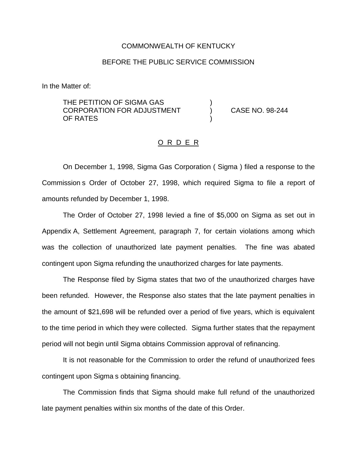## COMMONWEALTH OF KENTUCKY

## BEFORE THE PUBLIC SERVICE COMMISSION

In the Matter of:

THE PETITION OF SIGMA GAS CORPORATION FOR ADJUSTMENT ) CASE NO. 98-244 OF RATES

## O R D E R

On December 1, 1998, Sigma Gas Corporation ( Sigma ) filed a response to the Commission s Order of October 27, 1998, which required Sigma to file a report of amounts refunded by December 1, 1998.

The Order of October 27, 1998 levied a fine of \$5,000 on Sigma as set out in Appendix A, Settlement Agreement, paragraph 7, for certain violations among which was the collection of unauthorized late payment penalties. The fine was abated contingent upon Sigma refunding the unauthorized charges for late payments.

The Response filed by Sigma states that two of the unauthorized charges have been refunded. However, the Response also states that the late payment penalties in the amount of \$21,698 will be refunded over a period of five years, which is equivalent to the time period in which they were collected. Sigma further states that the repayment period will not begin until Sigma obtains Commission approval of refinancing.

It is not reasonable for the Commission to order the refund of unauthorized fees contingent upon Sigma s obtaining financing.

The Commission finds that Sigma should make full refund of the unauthorized late payment penalties within six months of the date of this Order.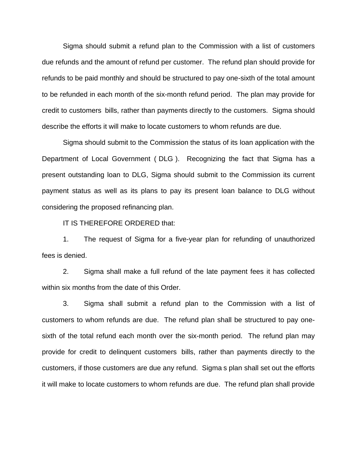Sigma should submit a refund plan to the Commission with a list of customers due refunds and the amount of refund per customer. The refund plan should provide for refunds to be paid monthly and should be structured to pay one-sixth of the total amount to be refunded in each month of the six-month refund period. The plan may provide for credit to customers bills, rather than payments directly to the customers. Sigma should describe the efforts it will make to locate customers to whom refunds are due.

Sigma should submit to the Commission the status of its loan application with the Department of Local Government ( DLG ). Recognizing the fact that Sigma has a present outstanding loan to DLG, Sigma should submit to the Commission its current payment status as well as its plans to pay its present loan balance to DLG without considering the proposed refinancing plan.

IT IS THEREFORE ORDERED that:

1. The request of Sigma for a five-year plan for refunding of unauthorized fees is denied.

2. Sigma shall make a full refund of the late payment fees it has collected within six months from the date of this Order.

3. Sigma shall submit a refund plan to the Commission with a list of customers to whom refunds are due. The refund plan shall be structured to pay onesixth of the total refund each month over the six-month period. The refund plan may provide for credit to delinquent customers bills, rather than payments directly to the customers, if those customers are due any refund. Sigma s plan shall set out the efforts it will make to locate customers to whom refunds are due. The refund plan shall provide